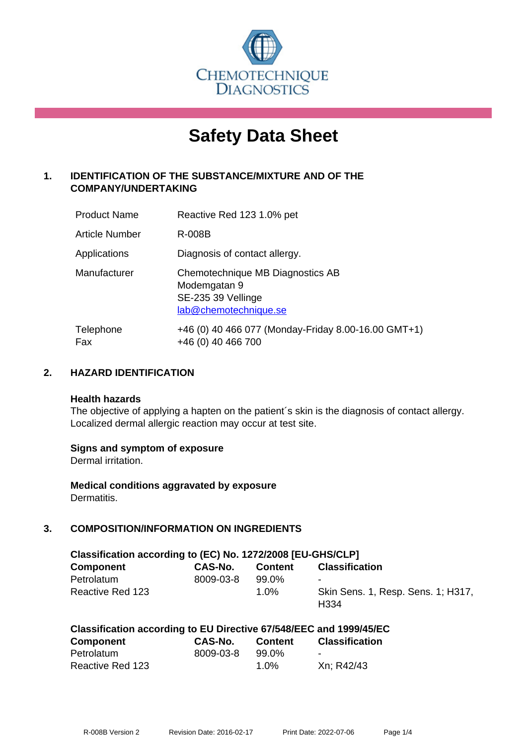

# **Safety Data Sheet**

# **1. IDENTIFICATION OF THE SUBSTANCE/MIXTURE AND OF THE COMPANY/UNDERTAKING**

| <b>Product Name</b>   | Reactive Red 123 1.0% pet                                                                       |
|-----------------------|-------------------------------------------------------------------------------------------------|
| <b>Article Number</b> | R-008B                                                                                          |
| Applications          | Diagnosis of contact allergy.                                                                   |
| Manufacturer          | Chemotechnique MB Diagnostics AB<br>Modemgatan 9<br>SE-235 39 Vellinge<br>lab@chemotechnique.se |
| Telephone<br>Fax      | +46 (0) 40 466 077 (Monday-Friday 8.00-16.00 GMT+1)<br>+46 (0) 40 466 700                       |

## **2. HAZARD IDENTIFICATION**

#### **Health hazards**

The objective of applying a hapten on the patient's skin is the diagnosis of contact allergy. Localized dermal allergic reaction may occur at test site.

## **Signs and symptom of exposure**

Dermal irritation.

**Medical conditions aggravated by exposure** Dermatitis.

# **3. COMPOSITION/INFORMATION ON INGREDIENTS**

| Classification according to (EC) No. 1272/2008 [EU-GHS/CLP] |           |         |                                                        |  |  |
|-------------------------------------------------------------|-----------|---------|--------------------------------------------------------|--|--|
| <b>Component</b>                                            | CAS-No.   | Content | <b>Classification</b>                                  |  |  |
| Petrolatum                                                  | 8009-03-8 | 99.0%   | $\blacksquare$                                         |  |  |
| Reactive Red 123                                            |           | $1.0\%$ | Skin Sens. 1, Resp. Sens. 1; H317,<br>H <sub>334</sub> |  |  |

| Classification according to EU Directive 67/548/EEC and 1999/45/EC |           |                |                       |  |
|--------------------------------------------------------------------|-----------|----------------|-----------------------|--|
| <b>Component</b>                                                   | CAS-No.   | <b>Content</b> | <b>Classification</b> |  |
| Petrolatum                                                         | 8009-03-8 | 99.0%          | $\blacksquare$        |  |
| Reactive Red 123                                                   |           | 1.0%           | Xn; R42/43            |  |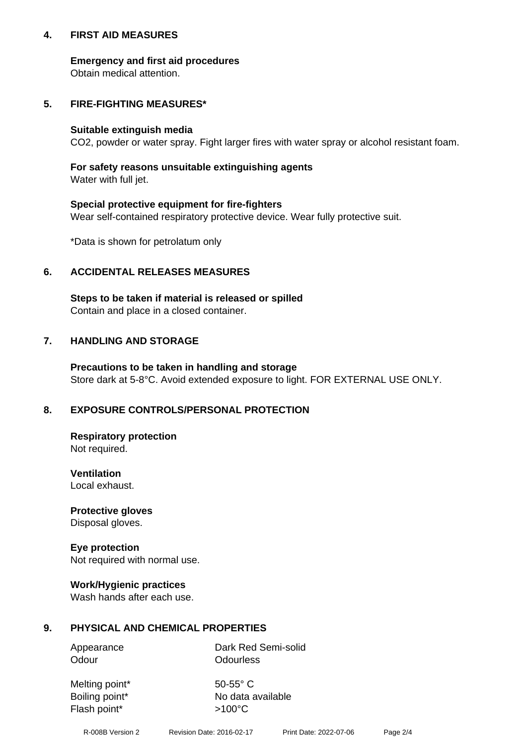## **4. FIRST AID MEASURES**

## **Emergency and first aid procedures**

Obtain medical attention.

## **5. FIRE-FIGHTING MEASURES\***

#### **Suitable extinguish media**

CO2, powder or water spray. Fight larger fires with water spray or alcohol resistant foam.

## **For safety reasons unsuitable extinguishing agents**

Water with full jet.

## **Special protective equipment for fire-fighters**

Wear self-contained respiratory protective device. Wear fully protective suit.

\*Data is shown for petrolatum only

## **6. ACCIDENTAL RELEASES MEASURES**

**Steps to be taken if material is released or spilled** Contain and place in a closed container.

## **7. HANDLING AND STORAGE**

**Precautions to be taken in handling and storage** Store dark at 5-8°C. Avoid extended exposure to light. FOR EXTERNAL USE ONLY.

# **8. EXPOSURE CONTROLS/PERSONAL PROTECTION**

**Respiratory protection** Not required.

**Ventilation** Local exhaust.

**Protective gloves** Disposal gloves.

#### **Eye protection** Not required with normal use.

## **Work/Hygienic practices**

Wash hands after each use.

## **9. PHYSICAL AND CHEMICAL PROPERTIES**

Odour **Odourless** 

Appearance Dark Red Semi-solid

Melting point\* 50-55° C Flash point\*  $>100^{\circ}$ C

Boiling point\* No data available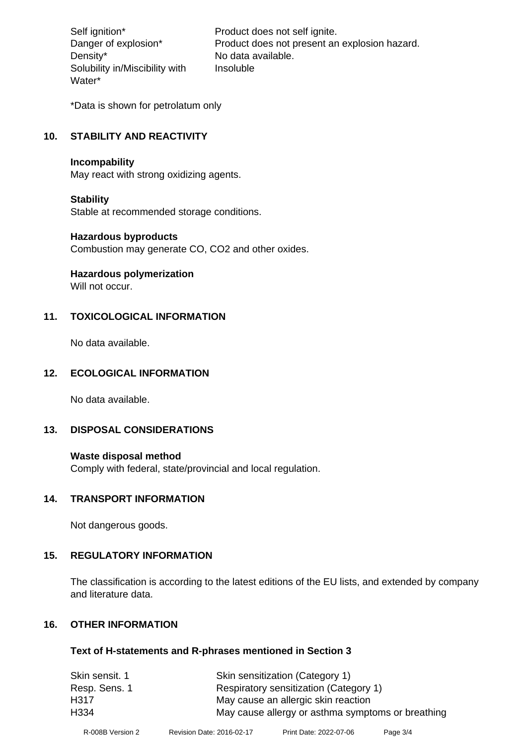Density\* No data available. Solubility in/Miscibility with Water\*

Self ignition\* Product does not self ignite. Danger of explosion\* Product does not present an explosion hazard. Insoluble

\*Data is shown for petrolatum only

# **10. STABILITY AND REACTIVITY**

#### **Incompability**

May react with strong oxidizing agents.

#### **Stability**

Stable at recommended storage conditions.

#### **Hazardous byproducts**

Combustion may generate CO, CO2 and other oxides.

**Hazardous polymerization**

Will not occur.

## **11. TOXICOLOGICAL INFORMATION**

No data available.

## **12. ECOLOGICAL INFORMATION**

No data available.

## **13. DISPOSAL CONSIDERATIONS**

#### **Waste disposal method**

Comply with federal, state/provincial and local regulation.

#### **14. TRANSPORT INFORMATION**

Not dangerous goods.

## **15. REGULATORY INFORMATION**

The classification is according to the latest editions of the EU lists, and extended by company and literature data.

#### **16. OTHER INFORMATION**

#### **Text of H-statements and R-phrases mentioned in Section 3**

| Respiratory sensitization (Category 1)            |
|---------------------------------------------------|
|                                                   |
| May cause allergy or asthma symptoms or breathing |
|                                                   |